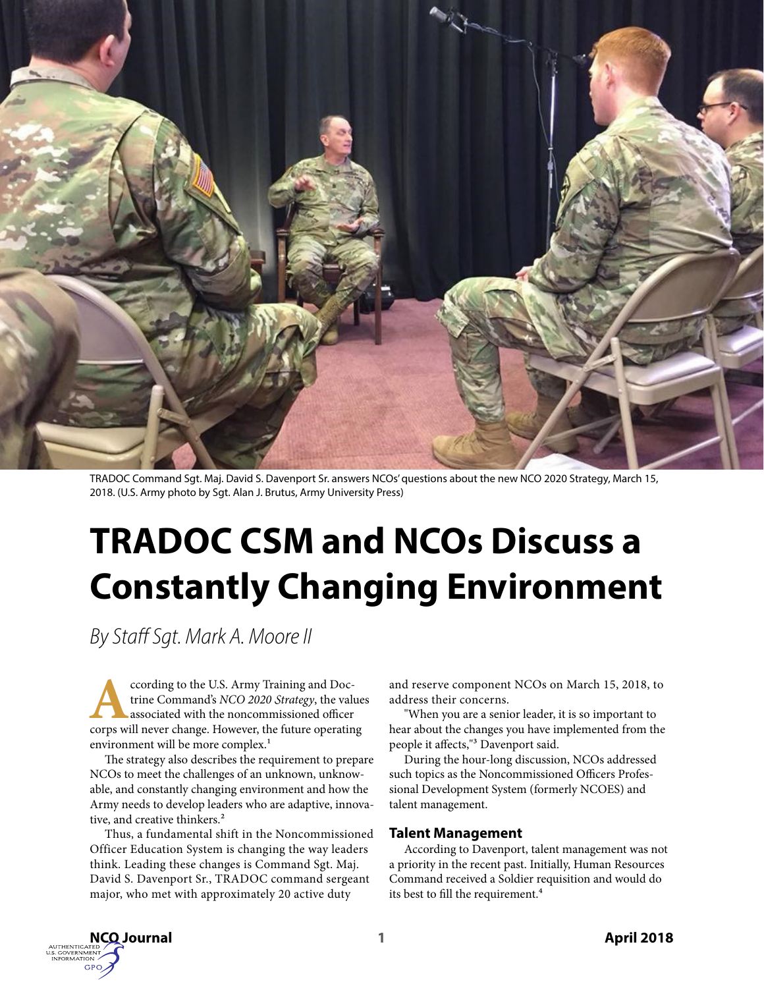

TRADOC Command Sgt. Maj. David S. Davenport Sr. answers NCOs' questions about the new NCO 2020 Strategy, March 15, 2018. (U.S. Army photo by Sgt. Alan J. Brutus, Army University Press)

# **TRADOC CSM and NCOs Discuss a Constantly Changing Environment**

*By Staff Sgt. Mark A. Moore II*

ccording to the U.S. Army Training and Doctrine Command's NCO 2020 Strategy, the values<br>associated with the noncommissioned officer<br>corps will never change. However, the future operatin trine Command's *NCO 2020 Strategy*, the values associated with the noncommissioned officer corps will never change. However, the future operating environment will be more complex.<sup>1</sup>

The strategy also describes the requirement to prepare NCOs to meet the challenges of an unknown, unknowable, and constantly changing environment and how the Army needs to develop leaders who are adaptive, innovative, and creative thinkers.<sup>2</sup>

Thus, a fundamental shift in the Noncommissioned Officer Education System is changing the way leaders think. Leading these changes is Command Sgt. Maj. David S. Davenport Sr., TRADOC command sergeant major, who met with approximately 20 active duty

and reserve component NCOs on March 15, 2018, to address their concerns.

"When you are a senior leader, it is so important to hear about the changes you have implemented from the people it affects,"3 Davenport said.

During the hour-long discussion, NCOs addressed such topics as the Noncommissioned Officers Professional Development System (formerly NCOES) and talent management.

## **Talent Management**

According to Davenport, talent management was not a priority in the recent past. Initially, Human Resources Command received a Soldier requisition and would do its best to fill the requirement.<sup>4</sup>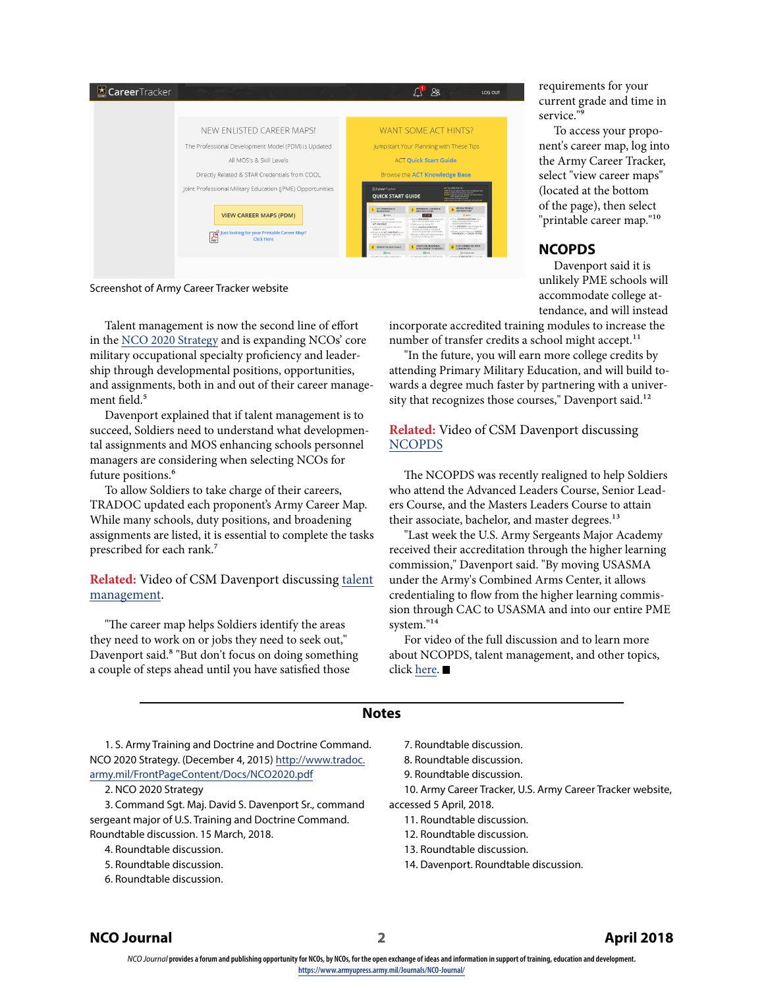| <b>E</b> CareerTracker |                                                                                                               | $\sim$<br>LOG OUT                                                                                                                                                                                                                                                                                                                                                                                                                                                                                                                                                                                                                                                                                                                                                                                                                                                                                                                                                                                                                                                                                                                                   |
|------------------------|---------------------------------------------------------------------------------------------------------------|-----------------------------------------------------------------------------------------------------------------------------------------------------------------------------------------------------------------------------------------------------------------------------------------------------------------------------------------------------------------------------------------------------------------------------------------------------------------------------------------------------------------------------------------------------------------------------------------------------------------------------------------------------------------------------------------------------------------------------------------------------------------------------------------------------------------------------------------------------------------------------------------------------------------------------------------------------------------------------------------------------------------------------------------------------------------------------------------------------------------------------------------------------|
|                        |                                                                                                               |                                                                                                                                                                                                                                                                                                                                                                                                                                                                                                                                                                                                                                                                                                                                                                                                                                                                                                                                                                                                                                                                                                                                                     |
|                        | NEW ENLISTED CAREER MAPS!                                                                                     | <b>WANT SOME ACT HINTS?</b>                                                                                                                                                                                                                                                                                                                                                                                                                                                                                                                                                                                                                                                                                                                                                                                                                                                                                                                                                                                                                                                                                                                         |
|                        | The Professional Development Model (PDM) is Updated                                                           | Jumpstart Your Planning with These Tips                                                                                                                                                                                                                                                                                                                                                                                                                                                                                                                                                                                                                                                                                                                                                                                                                                                                                                                                                                                                                                                                                                             |
|                        | All MOS's & Skill Levels                                                                                      | <b>ACT Quick Start Guide.</b>                                                                                                                                                                                                                                                                                                                                                                                                                                                                                                                                                                                                                                                                                                                                                                                                                                                                                                                                                                                                                                                                                                                       |
|                        | Directly Related & STAR Credentials from COOL                                                                 | Browse the ACT Knowledge Base.                                                                                                                                                                                                                                                                                                                                                                                                                                                                                                                                                                                                                                                                                                                                                                                                                                                                                                                                                                                                                                                                                                                      |
|                        | Joint Professional Military Education (JPME) Opportunities                                                    | ACTALIDAS VOUTO.<br>CareerTracker<br>Việt và (any lates) loàis (na Court tout Nos<br>mary is fished to object the cro<br><b>RICEVA (argued Camer &amp; Vantage Goulders)</b><br><b>QUICK START GUIDE</b><br>MAY I ranny stickards a finish<br><b>FURN CATHOL FEB LIVES FEDERAL RECORD FAILURE</b>                                                                                                                                                                                                                                                                                                                                                                                                                                                                                                                                                                                                                                                                                                                                                                                                                                                   |
|                        | <b>VIEW CAREER MAPS (PDM)</b><br>lust looking for your Printable Career Map?<br><b>A</b><br><b>Click Here</b> | <b>REVIEW PROFILE</b><br>ACT HOMEPASE &<br><b>REMNISCES: LEADERS &amp;</b><br><b>INFORMATION</b><br><b>NIGHTATION</b><br>MENTORS ICONS<br>ೆ ಕ<br><b>Ф</b> этот<br><b>Q MACK</b><br>at investigating this cities on the<br>JE POID LEADERS & AND/TORS, USING<br>printed your fut une-unader<br>but son in the apper rate corner.<br>ASSISTED LARGE LANSIFICATE<br>EC19A RCT/MNG and updates on the<br>Gulmmdratin/Unwinns<br><b>ACT HONEPAGE</b><br>to be exclusive clusing GO.<br>bi Prom MESSAGES, View messages and<br>GokseACT20 using the left hand<br>CITY/VALLED FREE & MENTORS<br>recommendations sent to you.<br>nexpose panel.<br>requests by clouring on the people.<br>Engine our information or CA2002<br>less in the apparinget of the header.<br><b>I find on forme ACT HOMEPAGE of your</b><br>DATABOARD AND CARRIER RECORDS<br>tine to cloimpthe acT ligo in the<br>diamet or keep the request and tipe<br>upper left corner.<br>a contrast to the perder<br><b>CEEATE AN IMOINDUM:</b><br>STAY CONNECTED IN TH<br>IDENTIFY & SAVE GOALS<br>DEILCFMINT PLAN (EF)<br><b>COMMUNITIES</b><br><b>CO</b> must<br><b>CO</b> KAN<br>Summer |
|                        |                                                                                                               | <b>SUPERINT COMMUNITIES</b> (FIGURES)<br><b>INFORMATION INTO CONVENIES</b><br>another present your tip fine the                                                                                                                                                                                                                                                                                                                                                                                                                                                                                                                                                                                                                                                                                                                                                                                                                                                                                                                                                                                                                                     |

Screenshot of Army Career Tracker website

Talent management is now the second line of effort in the [NCO 2020 Strategy](https://armyupress.army.afpims.mil/Journals/NCO-Journal/Archives/2018/April/TRADOC-Round-Table/tradoc.army.mil/FrontPageContent/Docs/NCO2020.pdf) and is expanding NCOs' core military occupational specialty proficiency and leadership through developmental positions, opportunities, and assignments, both in and out of their career management field.<sup>5</sup>

Davenport explained that if talent management is to succeed, Soldiers need to understand what developmental assignments and MOS enhancing schools personnel managers are considering when selecting NCOs for future positions.<sup>6</sup>

To allow Soldiers to take charge of their careers, TRADOC updated each proponent's Army Career Map. While many schools, duty positions, and broadening assignments are listed, it is essential to complete the tasks prescribed for each rank.7

**Related:** Video of CSM Davenport discussing [talent](https://youtu.be/IoLafwjw7Ic)  [management](https://youtu.be/IoLafwjw7Ic).

"The career map helps Soldiers identify the areas they need to work on or jobs they need to seek out," Davenport said.<sup>8</sup> "But don't focus on doing something a couple of steps ahead until you have satisfied those

**NCOPDS** Davenport said it is

unlikely PME schools will accommodate college attendance, and will instead

requirements for your current grade and time in

To access your proponent's career map, log into the Army Career Tracker, select "view career maps" (located at the bottom of the page), then select "printable career map."10

service."9

incorporate accredited training modules to increase the number of transfer credits a school might accept.<sup>11</sup>

"In the future, you will earn more college credits by attending Primary Military Education, and will build towards a degree much faster by partnering with a university that recognizes those courses," Davenport said.<sup>12</sup>

**Related:** Video of CSM Davenport discussing [NCOPDS](https://youtu.be/lIxqYe0gaoo)

The NCOPDS was recently realigned to help Soldiers who attend the Advanced Leaders Course, Senior Leaders Course, and the Masters Leaders Course to attain their associate, bachelor, and master degrees.<sup>13</sup>

"Last week the U.S. Army Sergeants Major Academy received their accreditation through the higher learning commission," Davenport said. "By moving USASMA under the Army's Combined Arms Center, it allows credentialing to flow from the higher learning commission through CAC to USASMA and into our entire PME system."14

For video of the full discussion and to learn more about NCOPDS, talent management, and other topics, click [here](https://www.youtube.com/watch?v=XdqA2PXgr_s&list=PLoaz_22yJtH1Gmd4GXsoRUVAcUp4zxCjS).

### **Notes**

1. S. Army Training and Doctrine and Doctrine Command. NCO 2020 Strategy. (December 4, 2015) [http://www.tradoc.](http://www.tradoc.army.mil/FrontPageContent/Docs/NCO2020.pdf) [army.mil/FrontPageContent/Docs/NCO2020.pdf](http://www.tradoc.army.mil/FrontPageContent/Docs/NCO2020.pdf)

2. NCO 2020 Strategy

3. Command Sgt. Maj. David S. Davenport Sr., command sergeant major of U.S. Training and Doctrine Command. Roundtable discussion. 15 March, 2018.

- 4. Roundtable discussion.
- 5. Roundtable discussion.
- 6. Roundtable discussion.
- 7. Roundtable discussion.
- 8. Roundtable discussion.
- 9. Roundtable discussion.

10. Army Career Tracker, U.S. Army Career Tracker website, accessed 5 April, 2018.

- 11. Roundtable discussion.
- 12. Roundtable discussion.
- 13. Roundtable discussion.
- 14. Davenport. Roundtable discussion.

## **NCO Journal 2 April 2018**